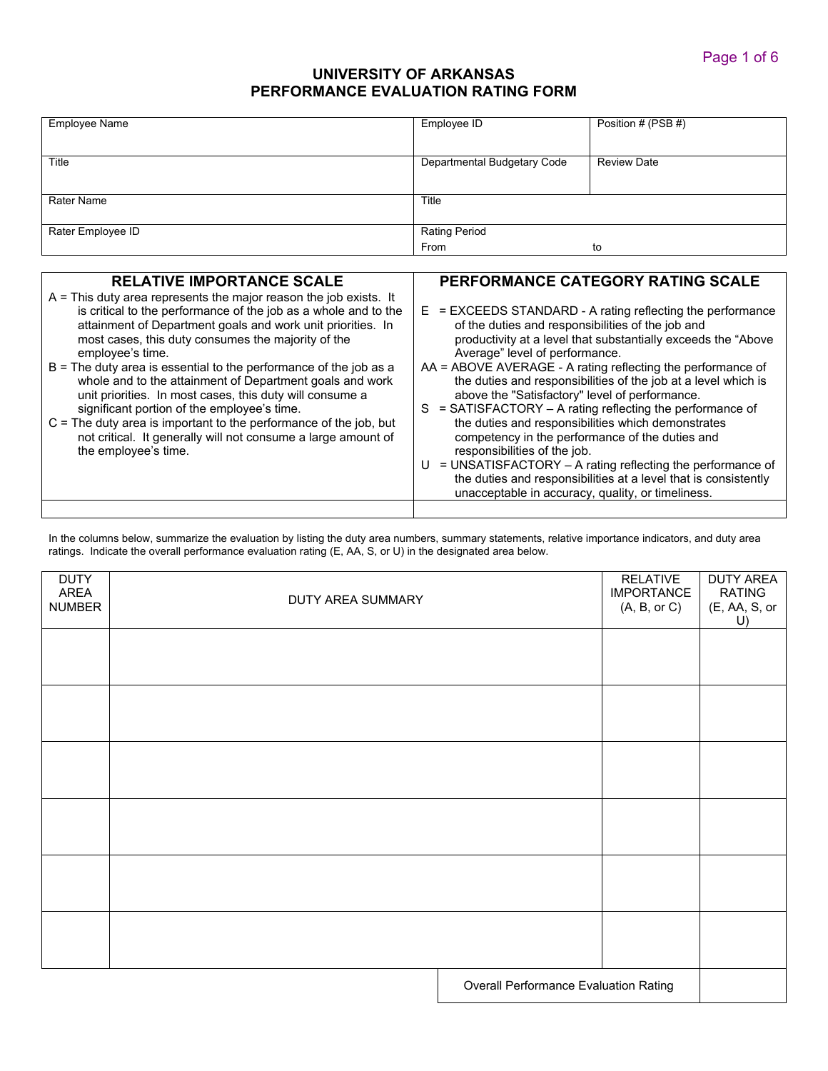# **UNIVERSITY OF ARKANSAS PERFORMANCE EVALUATION RATING FORM**

| Employee Name     | Employee ID                 | Position # (PSB #) |
|-------------------|-----------------------------|--------------------|
| Title             | Departmental Budgetary Code | <b>Review Date</b> |
| Rater Name        | Title                       |                    |
| Rater Employee ID | <b>Rating Period</b>        |                    |
|                   | From                        | to                 |

| <b>RELATIVE IMPORTANCE SCALE</b>                                                                                                                                                                                                                                                                                                                                                                                                                                                                                                                                                                                                                                                              | <b>PERFORMANCE CATEGORY RATING SCALE</b>                                                                                                                                                                                                                                                                                                                                                                                                                                                                                                                                                                                                                                                |
|-----------------------------------------------------------------------------------------------------------------------------------------------------------------------------------------------------------------------------------------------------------------------------------------------------------------------------------------------------------------------------------------------------------------------------------------------------------------------------------------------------------------------------------------------------------------------------------------------------------------------------------------------------------------------------------------------|-----------------------------------------------------------------------------------------------------------------------------------------------------------------------------------------------------------------------------------------------------------------------------------------------------------------------------------------------------------------------------------------------------------------------------------------------------------------------------------------------------------------------------------------------------------------------------------------------------------------------------------------------------------------------------------------|
| $A =$ This duty area represents the major reason the job exists. It<br>is critical to the performance of the job as a whole and to the<br>attainment of Department goals and work unit priorities. In<br>most cases, this duty consumes the majority of the<br>employee's time.<br>$B$ = The duty area is essential to the performance of the job as a<br>whole and to the attainment of Department goals and work<br>unit priorities. In most cases, this duty will consume a<br>significant portion of the employee's time.<br>$C =$ The duty area is important to the performance of the job, but<br>not critical. It generally will not consume a large amount of<br>the employee's time. | $E$ = EXCEEDS STANDARD - A rating reflecting the performance<br>of the duties and responsibilities of the job and<br>productivity at a level that substantially exceeds the "Above<br>Average" level of performance.<br>AA = ABOVE AVERAGE - A rating reflecting the performance of<br>the duties and responsibilities of the job at a level which is<br>above the "Satisfactory" level of performance.<br>$=$ SATISFACTORY $-$ A rating reflecting the performance of<br>S.<br>the duties and responsibilities which demonstrates<br>competency in the performance of the duties and<br>responsibilities of the job.<br>= UNSATISFACTORY - A rating reflecting the performance of<br>U |
|                                                                                                                                                                                                                                                                                                                                                                                                                                                                                                                                                                                                                                                                                               | the duties and responsibilities at a level that is consistently<br>unacceptable in accuracy, quality, or timeliness.                                                                                                                                                                                                                                                                                                                                                                                                                                                                                                                                                                    |
|                                                                                                                                                                                                                                                                                                                                                                                                                                                                                                                                                                                                                                                                                               |                                                                                                                                                                                                                                                                                                                                                                                                                                                                                                                                                                                                                                                                                         |

In the columns below, summarize the evaluation by listing the duty area numbers, summary statements, relative importance indicators, and duty area ratings. Indicate the overall performance evaluation rating (E, AA, S, or U) in the designated area below.

| <b>DUTY</b><br>AREA<br><b>NUMBER</b> | DUTY AREA SUMMARY |                                       | <b>RELATIVE</b><br><b>IMPORTANCE</b><br>(A, B, or C) | <b>DUTY AREA</b><br><b>RATING</b><br>(E, AA, S, or<br>U) |
|--------------------------------------|-------------------|---------------------------------------|------------------------------------------------------|----------------------------------------------------------|
|                                      |                   |                                       |                                                      |                                                          |
|                                      |                   |                                       |                                                      |                                                          |
|                                      |                   |                                       |                                                      |                                                          |
|                                      |                   |                                       |                                                      |                                                          |
|                                      |                   |                                       |                                                      |                                                          |
|                                      |                   |                                       |                                                      |                                                          |
|                                      |                   | Overall Performance Evaluation Rating |                                                      |                                                          |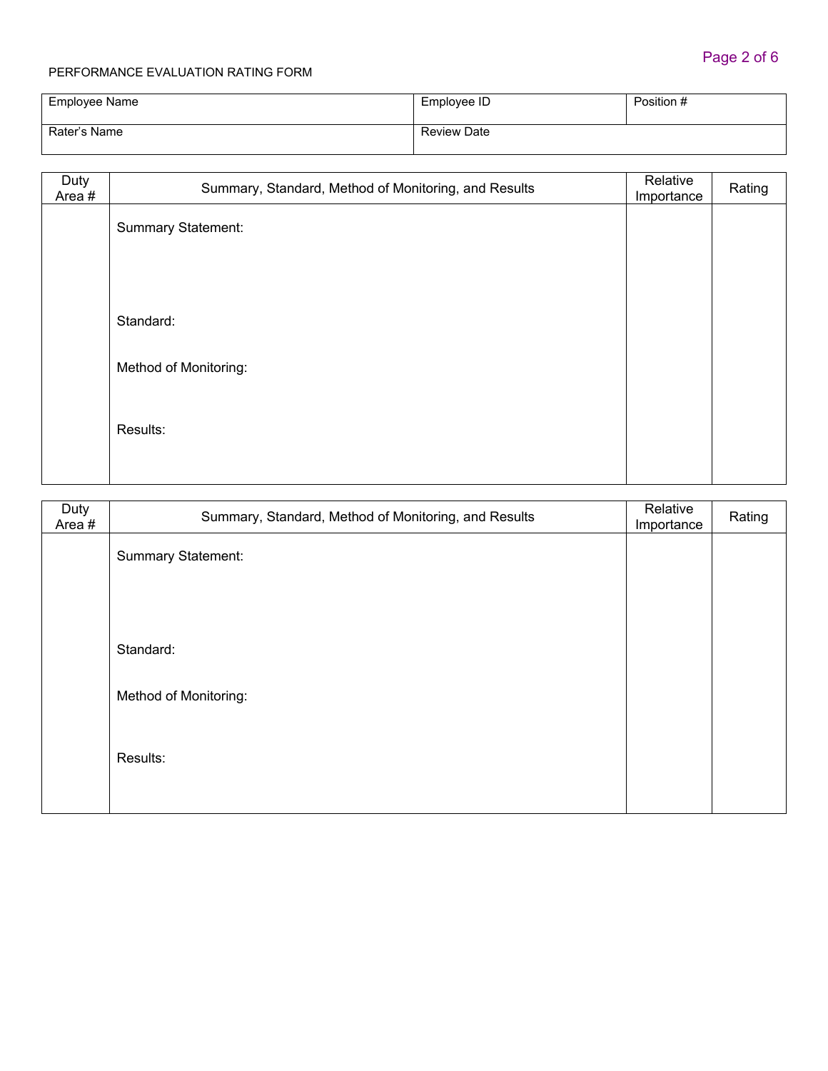| Employee Name | Employee ID        | Position # |
|---------------|--------------------|------------|
| Rater's Name  | <b>Review Date</b> |            |

| Duty<br>Area# | Summary, Standard, Method of Monitoring, and Results | Relative<br>Importance | Rating |
|---------------|------------------------------------------------------|------------------------|--------|
|               | <b>Summary Statement:</b>                            |                        |        |
|               |                                                      |                        |        |
|               |                                                      |                        |        |
|               | Standard:                                            |                        |        |
|               | Method of Monitoring:                                |                        |        |
|               | Results:                                             |                        |        |
|               |                                                      |                        |        |

| Duty<br>Area # | Summary, Standard, Method of Monitoring, and Results | Relative<br>Importance | Rating |
|----------------|------------------------------------------------------|------------------------|--------|
|                | <b>Summary Statement:</b>                            |                        |        |
|                |                                                      |                        |        |
|                |                                                      |                        |        |
|                | Standard:                                            |                        |        |
|                | Method of Monitoring:                                |                        |        |
|                | Results:                                             |                        |        |
|                |                                                      |                        |        |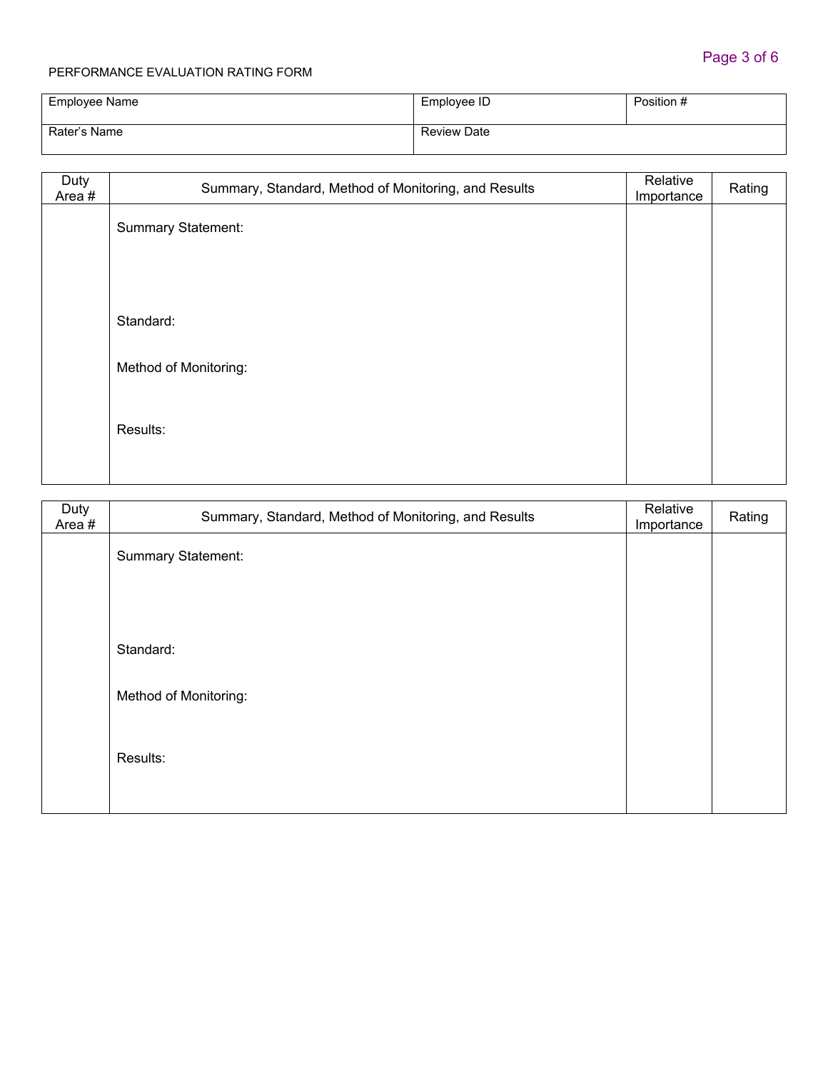| Employee Name | Employee ID        | Position # |
|---------------|--------------------|------------|
| Rater's Name  | <b>Review Date</b> |            |

| Duty<br>Area# | Summary, Standard, Method of Monitoring, and Results | Relative<br>Importance | Rating |
|---------------|------------------------------------------------------|------------------------|--------|
|               | <b>Summary Statement:</b>                            |                        |        |
|               |                                                      |                        |        |
|               |                                                      |                        |        |
|               | Standard:                                            |                        |        |
|               | Method of Monitoring:                                |                        |        |
|               | Results:                                             |                        |        |
|               |                                                      |                        |        |

| Duty<br>Area # | Summary, Standard, Method of Monitoring, and Results | Relative<br>Importance | Rating |
|----------------|------------------------------------------------------|------------------------|--------|
|                | <b>Summary Statement:</b>                            |                        |        |
|                |                                                      |                        |        |
|                |                                                      |                        |        |
|                | Standard:                                            |                        |        |
|                | Method of Monitoring:                                |                        |        |
|                | Results:                                             |                        |        |
|                |                                                      |                        |        |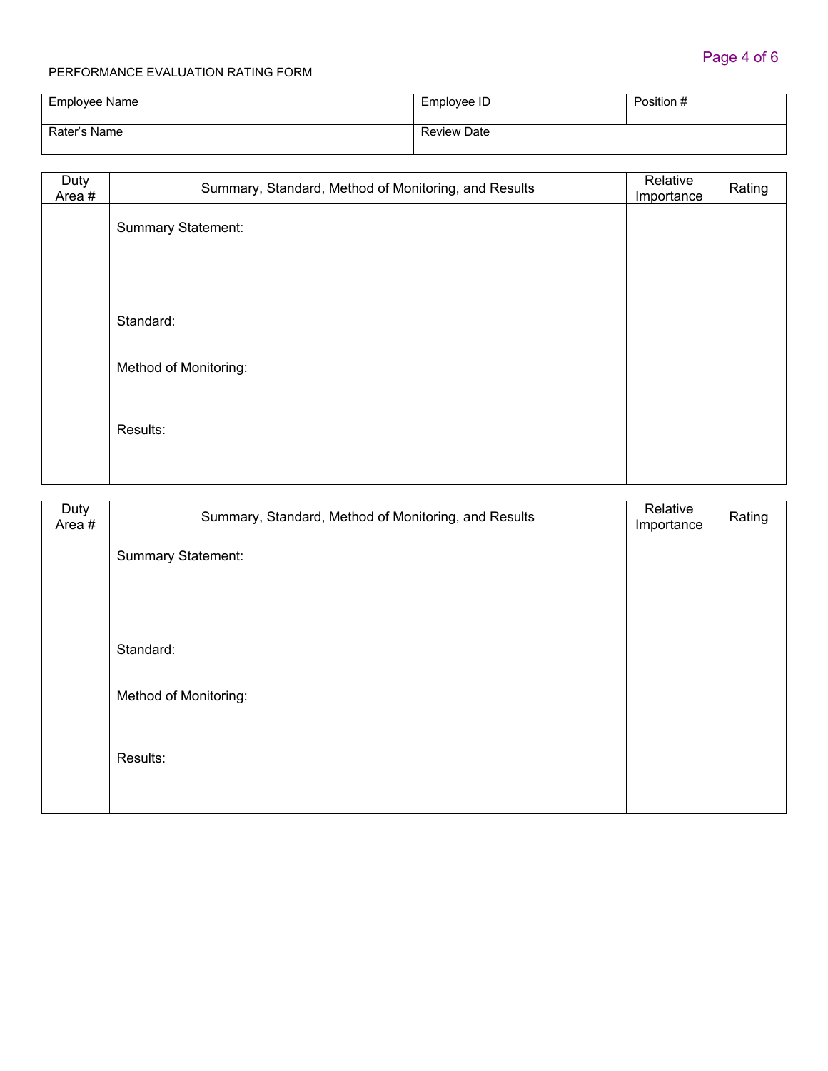| Employee Name | Employee ID        | Position # |
|---------------|--------------------|------------|
| Rater's Name  | <b>Review Date</b> |            |

| Duty<br>Area# | Summary, Standard, Method of Monitoring, and Results | Relative<br>Importance | Rating |
|---------------|------------------------------------------------------|------------------------|--------|
|               | <b>Summary Statement:</b>                            |                        |        |
|               |                                                      |                        |        |
|               |                                                      |                        |        |
|               | Standard:                                            |                        |        |
|               | Method of Monitoring:                                |                        |        |
|               | Results:                                             |                        |        |
|               |                                                      |                        |        |

| Duty<br>Area # | Summary, Standard, Method of Monitoring, and Results | Relative<br>Importance | Rating |
|----------------|------------------------------------------------------|------------------------|--------|
|                | Summary Statement:                                   |                        |        |
|                |                                                      |                        |        |
|                |                                                      |                        |        |
|                | Standard:                                            |                        |        |
|                | Method of Monitoring:                                |                        |        |
|                | Results:                                             |                        |        |
|                |                                                      |                        |        |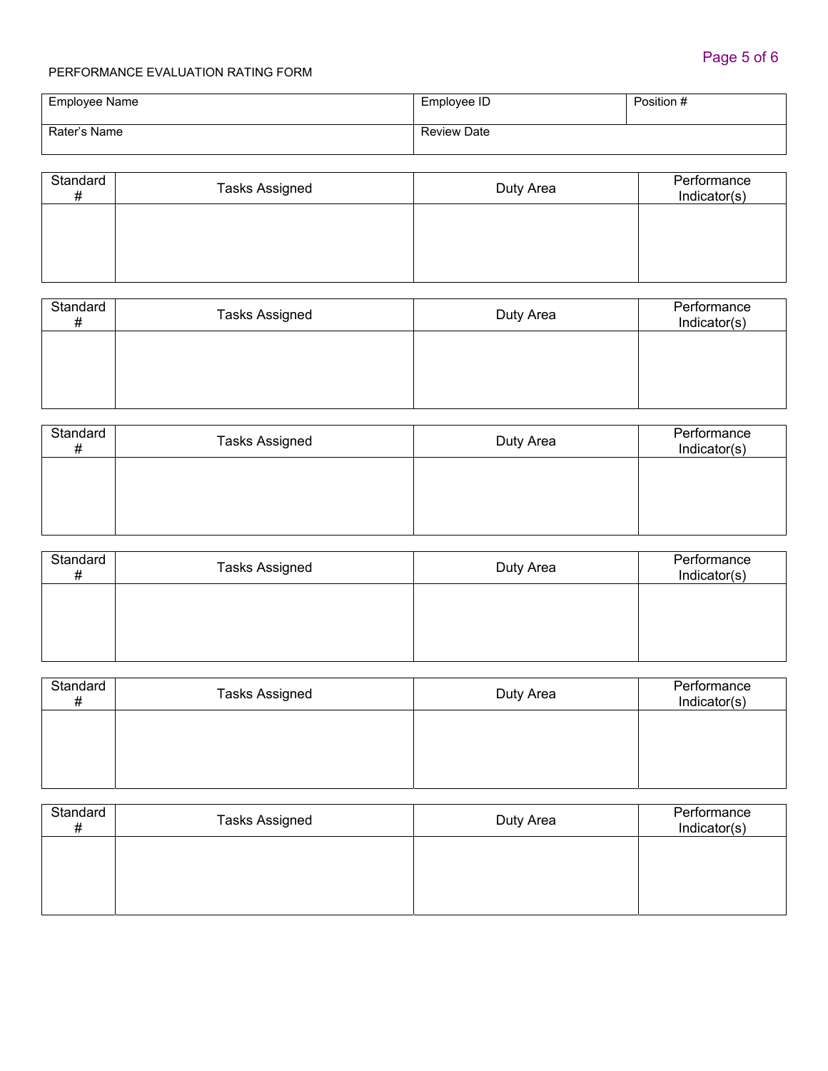| Employee Name | Employee ID        | Position # |
|---------------|--------------------|------------|
| Rater's Name  | <b>Review Date</b> |            |

| Standard<br># | <b>Tasks Assigned</b> | Duty Area | Performance<br>Indicator(s) |
|---------------|-----------------------|-----------|-----------------------------|
|               |                       |           |                             |
|               |                       |           |                             |

| Standard<br># | <b>Tasks Assigned</b> | Duty Area | Performance<br>Indicator(s) |
|---------------|-----------------------|-----------|-----------------------------|
|               |                       |           |                             |
|               |                       |           |                             |

| Standard<br># | <b>Tasks Assigned</b> | Duty Area | Performance<br>Indicator(s) |
|---------------|-----------------------|-----------|-----------------------------|
|               |                       |           |                             |
|               |                       |           |                             |

| Standard<br>Ŧ | <b>Tasks Assigned</b> | Duty Area | Performance<br>Indicator(s) |
|---------------|-----------------------|-----------|-----------------------------|
|               |                       |           |                             |
|               |                       |           |                             |
|               |                       |           |                             |

| Standard<br># | <b>Tasks Assigned</b> | Duty Area | Performance<br>Indicator(s) |
|---------------|-----------------------|-----------|-----------------------------|
|               |                       |           |                             |
|               |                       |           |                             |

| Standard<br># | <b>Tasks Assigned</b> | Duty Area | Performance<br>Indicator(s) |
|---------------|-----------------------|-----------|-----------------------------|
|               |                       |           |                             |